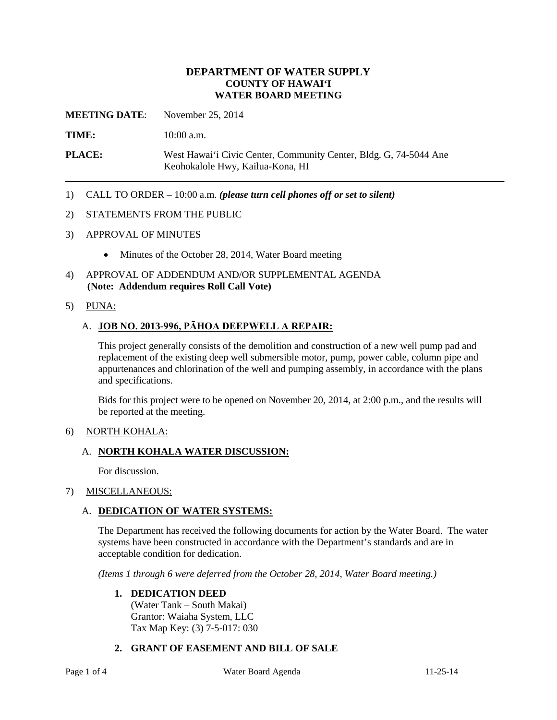# **DEPARTMENT OF WATER SUPPLY COUNTY OF HAWAI'I WATER BOARD MEETING**

**MEETING DATE**: November 25, 2014

**TIME:** 10:00 a.m.

**PLACE:** West Hawai'i Civic Center, Community Center, Bldg. G, 74-5044 Ane Keohokalole Hwy, Kailua-Kona, HI

1) CALL TO ORDER – 10:00 a.m. *(please turn cell phones off or set to silent)*

#### 2) STATEMENTS FROM THE PUBLIC

- 3) APPROVAL OF MINUTES
	- Minutes of the October 28, 2014, Water Board meeting
- 4) APPROVAL OF ADDENDUM AND/OR SUPPLEMENTAL AGENDA **(Note: Addendum requires Roll Call Vote)**
- 5) PUNA:

#### A. **JOB NO. 2013-996, PĀHOA DEEPWELL A REPAIR:**

This project generally consists of the demolition and construction of a new well pump pad and replacement of the existing deep well submersible motor, pump, power cable, column pipe and appurtenances and chlorination of the well and pumping assembly, in accordance with the plans and specifications.

Bids for this project were to be opened on November 20, 2014, at 2:00 p.m., and the results will be reported at the meeting.

#### 6) NORTH KOHALA:

#### A. **NORTH KOHALA WATER DISCUSSION:**

For discussion.

### 7) MISCELLANEOUS:

#### A. **DEDICATION OF WATER SYSTEMS:**

The Department has received the following documents for action by the Water Board. The water systems have been constructed in accordance with the Department's standards and are in acceptable condition for dedication.

*(Items 1 through 6 were deferred from the October 28, 2014, Water Board meeting.)*

#### **1. DEDICATION DEED**

(Water Tank – South Makai) Grantor: Waiaha System, LLC Tax Map Key: (3) 7-5-017: 030

#### **2. GRANT OF EASEMENT AND BILL OF SALE**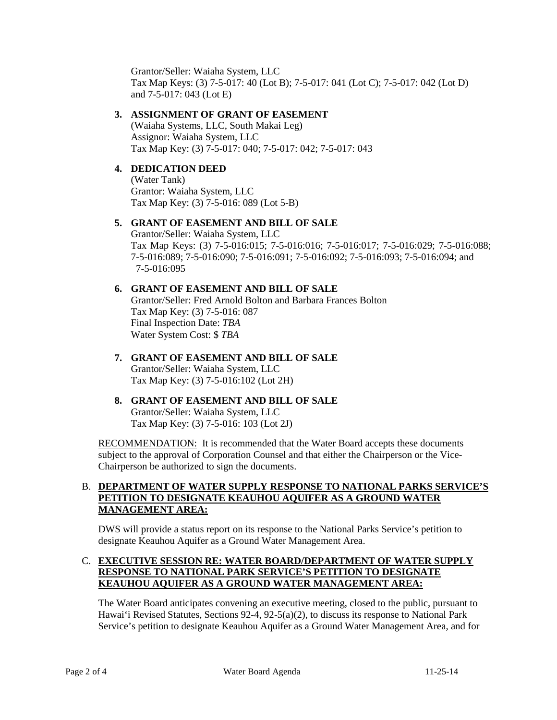Grantor/Seller: Waiaha System, LLC Tax Map Keys: (3) 7-5-017: 40 (Lot B); 7-5-017: 041 (Lot C); 7-5-017: 042 (Lot D) and 7-5-017: 043 (Lot E)

# **3. ASSIGNMENT OF GRANT OF EASEMENT**

(Waiaha Systems, LLC, South Makai Leg) Assignor: Waiaha System, LLC Tax Map Key: (3) 7-5-017: 040; 7-5-017: 042; 7-5-017: 043

# **4. DEDICATION DEED**

(Water Tank) Grantor: Waiaha System, LLC Tax Map Key: (3) 7-5-016: 089 (Lot 5-B)

#### **5. GRANT OF EASEMENT AND BILL OF SALE** Grantor/Seller: Waiaha System, LLC Tax Map Keys: (3) 7-5-016:015; 7-5-016:016; 7-5-016:017; 7-5-016:029; 7-5-016:088; 7-5-016:089; 7-5-016:090; 7-5-016:091; 7-5-016:092; 7-5-016:093; 7-5-016:094; and 7-5-016:095

# **6. GRANT OF EASEMENT AND BILL OF SALE** Grantor/Seller: Fred Arnold Bolton and Barbara Frances Bolton Tax Map Key: (3) 7-5-016: 087 Final Inspection Date: *TBA* Water System Cost: \$ *TBA*

**7. GRANT OF EASEMENT AND BILL OF SALE** Grantor/Seller: Waiaha System, LLC Tax Map Key: (3) 7-5-016:102 (Lot 2H)

# **8. GRANT OF EASEMENT AND BILL OF SALE** Grantor/Seller: Waiaha System, LLC Tax Map Key: (3) 7-5-016: 103 (Lot 2J)

RECOMMENDATION: It is recommended that the Water Board accepts these documents subject to the approval of Corporation Counsel and that either the Chairperson or the Vice-Chairperson be authorized to sign the documents.

## B. **DEPARTMENT OF WATER SUPPLY RESPONSE TO NATIONAL PARKS SERVICE'S PETITION TO DESIGNATE KEAUHOU AQUIFER AS A GROUND WATER MANAGEMENT AREA:**

DWS will provide a status report on its response to the National Parks Service's petition to designate Keauhou Aquifer as a Ground Water Management Area.

# C. **EXECUTIVE SESSION RE: WATER BOARD/DEPARTMENT OF WATER SUPPLY RESPONSE TO NATIONAL PARK SERVICE'S PETITION TO DESIGNATE KEAUHOU AQUIFER AS A GROUND WATER MANAGEMENT AREA:**

The Water Board anticipates convening an executive meeting, closed to the public, pursuant to Hawai'i Revised Statutes, Sections 92-4, 92-5(a)(2), to discuss its response to National Park Service's petition to designate Keauhou Aquifer as a Ground Water Management Area, and for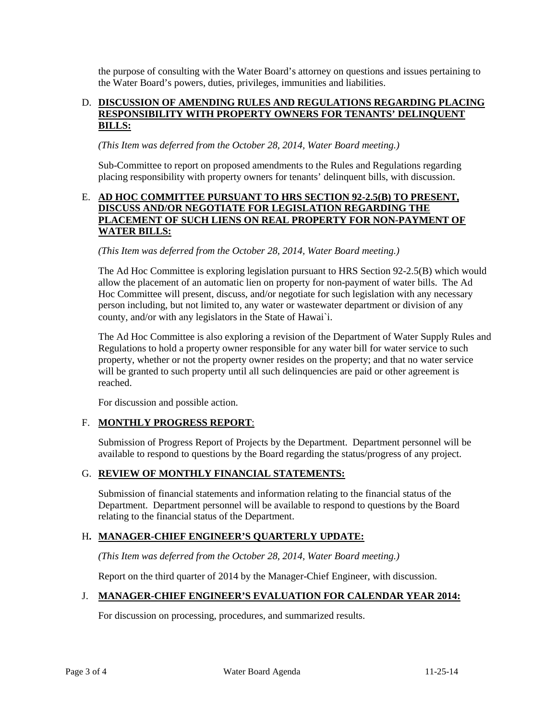the purpose of consulting with the Water Board's attorney on questions and issues pertaining to the Water Board's powers, duties, privileges, immunities and liabilities.

### D. **DISCUSSION OF AMENDING RULES AND REGULATIONS REGARDING PLACING RESPONSIBILITY WITH PROPERTY OWNERS FOR TENANTS' DELINQUENT BILLS:**

*(This Item was deferred from the October 28, 2014, Water Board meeting.)*

Sub-Committee to report on proposed amendments to the Rules and Regulations regarding placing responsibility with property owners for tenants' delinquent bills, with discussion.

# E. **AD HOC COMMITTEE PURSUANT TO HRS SECTION 92-2.5(B) TO PRESENT, DISCUSS AND/OR NEGOTIATE FOR LEGISLATION REGARDING THE PLACEMENT OF SUCH LIENS ON REAL PROPERTY FOR NON-PAYMENT OF WATER BILLS:**

# *(This Item was deferred from the October 28, 2014, Water Board meeting.)*

The Ad Hoc Committee is exploring legislation pursuant to HRS Section 92-2.5(B) which would allow the placement of an automatic lien on property for non-payment of water bills. The Ad Hoc Committee will present, discuss, and/or negotiate for such legislation with any necessary person including, but not limited to, any water or wastewater department or division of any county, and/or with any legislators in the State of Hawai`i.

The Ad Hoc Committee is also exploring a revision of the Department of Water Supply Rules and Regulations to hold a property owner responsible for any water bill for water service to such property, whether or not the property owner resides on the property; and that no water service will be granted to such property until all such delinquencies are paid or other agreement is reached.

For discussion and possible action.

# F. **MONTHLY PROGRESS REPORT**:

Submission of Progress Report of Projects by the Department. Department personnel will be available to respond to questions by the Board regarding the status/progress of any project.

# G. **REVIEW OF MONTHLY FINANCIAL STATEMENTS:**

Submission of financial statements and information relating to the financial status of the Department. Department personnel will be available to respond to questions by the Board relating to the financial status of the Department.

### H**. MANAGER-CHIEF ENGINEER'S QUARTERLY UPDATE:**

*(This Item was deferred from the October 28, 2014, Water Board meeting.)*

Report on the third quarter of 2014 by the Manager-Chief Engineer, with discussion.

### J. **MANAGER-CHIEF ENGINEER'S EVALUATION FOR CALENDAR YEAR 2014:**

For discussion on processing, procedures, and summarized results.